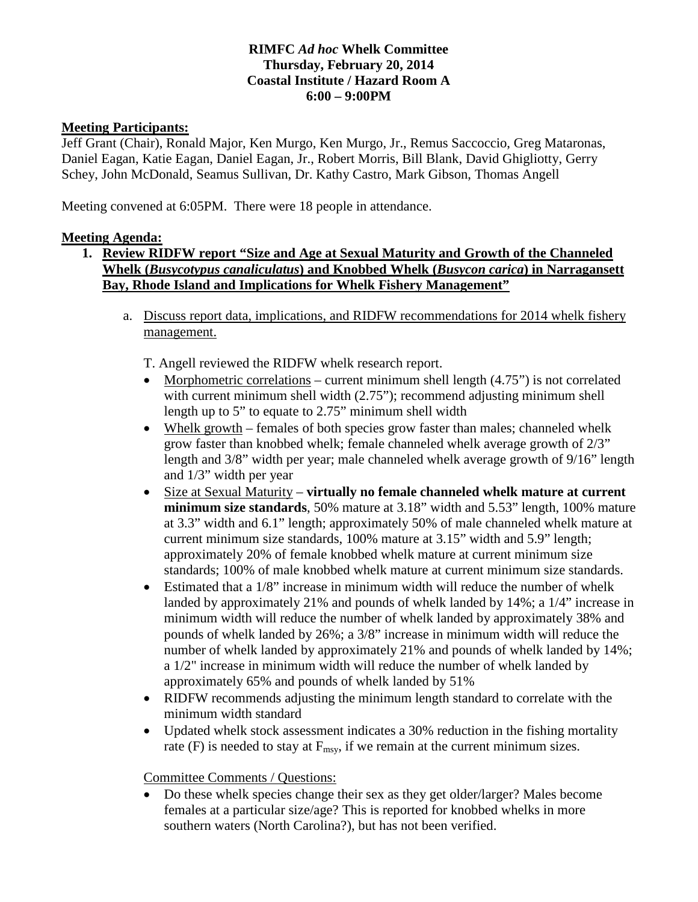# **RIMFC** *Ad hoc* **Whelk Committee Thursday, February 20, 2014 Coastal Institute / Hazard Room A 6:00 – 9:00PM**

#### **Meeting Participants:**

Jeff Grant (Chair), Ronald Major, Ken Murgo, Ken Murgo, Jr., Remus Saccoccio, Greg Mataronas, Daniel Eagan, Katie Eagan, Daniel Eagan, Jr., Robert Morris, Bill Blank, David Ghigliotty, Gerry Schey, John McDonald, Seamus Sullivan, Dr. Kathy Castro, Mark Gibson, Thomas Angell

Meeting convened at 6:05PM. There were 18 people in attendance.

#### **Meeting Agenda:**

- **1. Review RIDFW report "Size and Age at Sexual Maturity and Growth of the Channeled Whelk (***Busycotypus canaliculatus***) and Knobbed Whelk (***Busycon carica***) in Narragansett Bay, Rhode Island and Implications for Whelk Fishery Management"**
	- a. Discuss report data, implications, and RIDFW recommendations for 2014 whelk fishery management.
		- T. Angell reviewed the RIDFW whelk research report.
		- Morphometric correlations current minimum shell length  $(4.75)$  is not correlated with current minimum shell width (2.75"); recommend adjusting minimum shell length up to 5" to equate to 2.75" minimum shell width
		- Whelk growth females of both species grow faster than males; channeled whelk grow faster than knobbed whelk; female channeled whelk average growth of 2/3" length and 3/8" width per year; male channeled whelk average growth of 9/16" length and 1/3" width per year
		- Size at Sexual Maturity **virtually no female channeled whelk mature at current minimum size standards**, 50% mature at 3.18" width and 5.53" length, 100% mature at 3.3" width and 6.1" length; approximately 50% of male channeled whelk mature at current minimum size standards, 100% mature at 3.15" width and 5.9" length; approximately 20% of female knobbed whelk mature at current minimum size standards; 100% of male knobbed whelk mature at current minimum size standards.
		- Estimated that a 1/8" increase in minimum width will reduce the number of whelk landed by approximately 21% and pounds of whelk landed by 14%; a 1/4" increase in minimum width will reduce the number of whelk landed by approximately 38% and pounds of whelk landed by 26%; a 3/8" increase in minimum width will reduce the number of whelk landed by approximately 21% and pounds of whelk landed by 14%; a 1/2" increase in minimum width will reduce the number of whelk landed by approximately 65% and pounds of whelk landed by 51%
		- RIDFW recommends adjusting the minimum length standard to correlate with the minimum width standard
		- Updated whelk stock assessment indicates a 30% reduction in the fishing mortality rate (F) is needed to stay at  $F_{\text{msy}}$ , if we remain at the current minimum sizes.

Committee Comments / Questions:

• Do these whelk species change their sex as they get older/larger? Males become females at a particular size/age? This is reported for knobbed whelks in more southern waters (North Carolina?), but has not been verified.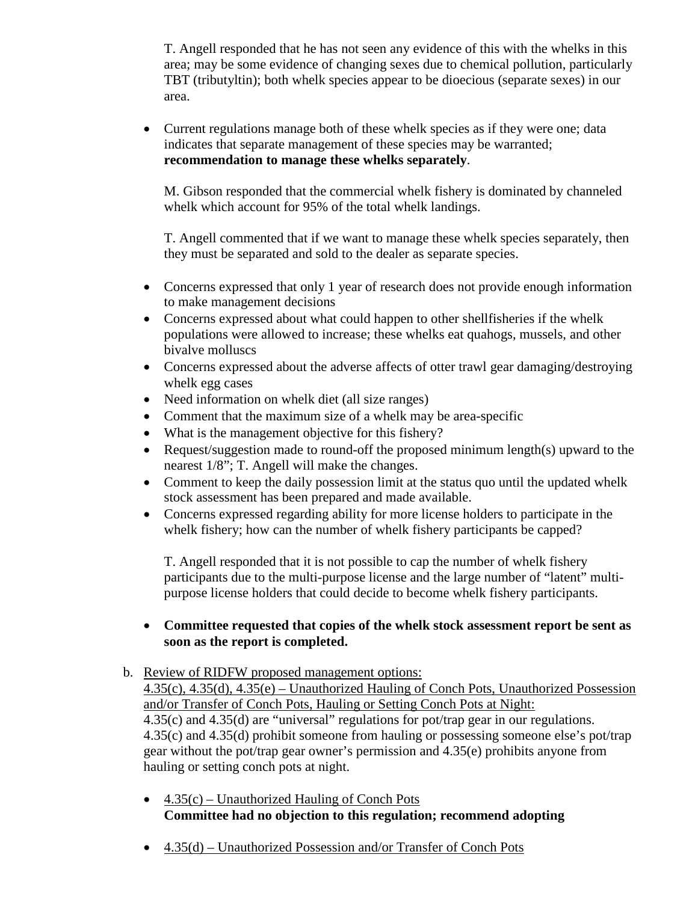T. Angell responded that he has not seen any evidence of this with the whelks in this area; may be some evidence of changing sexes due to chemical pollution, particularly TBT (tributyltin); both whelk species appear to be dioecious (separate sexes) in our area.

• Current regulations manage both of these whelk species as if they were one; data indicates that separate management of these species may be warranted; **recommendation to manage these whelks separately**.

M. Gibson responded that the commercial whelk fishery is dominated by channeled whelk which account for 95% of the total whelk landings.

T. Angell commented that if we want to manage these whelk species separately, then they must be separated and sold to the dealer as separate species.

- Concerns expressed that only 1 year of research does not provide enough information to make management decisions
- Concerns expressed about what could happen to other shellfisheries if the whelk populations were allowed to increase; these whelks eat quahogs, mussels, and other bivalve molluscs
- Concerns expressed about the adverse affects of otter trawl gear damaging/destroying whelk egg cases
- Need information on whelk diet (all size ranges)
- Comment that the maximum size of a whelk may be area-specific
- What is the management objective for this fishery?
- Request/suggestion made to round-off the proposed minimum length(s) upward to the nearest 1/8"; T. Angell will make the changes.
- Comment to keep the daily possession limit at the status quo until the updated whelk stock assessment has been prepared and made available.
- Concerns expressed regarding ability for more license holders to participate in the whelk fishery; how can the number of whelk fishery participants be capped?

T. Angell responded that it is not possible to cap the number of whelk fishery participants due to the multi-purpose license and the large number of "latent" multipurpose license holders that could decide to become whelk fishery participants.

#### • **Committee requested that copies of the whelk stock assessment report be sent as soon as the report is completed.**

#### b. Review of RIDFW proposed management options: 4.35(c), 4.35(d), 4.35(e) – Unauthorized Hauling of Conch Pots, Unauthorized Possession and/or Transfer of Conch Pots, Hauling or Setting Conch Pots at Night: 4.35(c) and 4.35(d) are "universal" regulations for pot/trap gear in our regulations. 4.35(c) and 4.35(d) prohibit someone from hauling or possessing someone else's pot/trap gear without the pot/trap gear owner's permission and 4.35(e) prohibits anyone from hauling or setting conch pots at night.

- $4.35(c)$  Unauthorized Hauling of Conch Pots **Committee had no objection to this regulation; recommend adopting**
- 4.35(d) Unauthorized Possession and/or Transfer of Conch Pots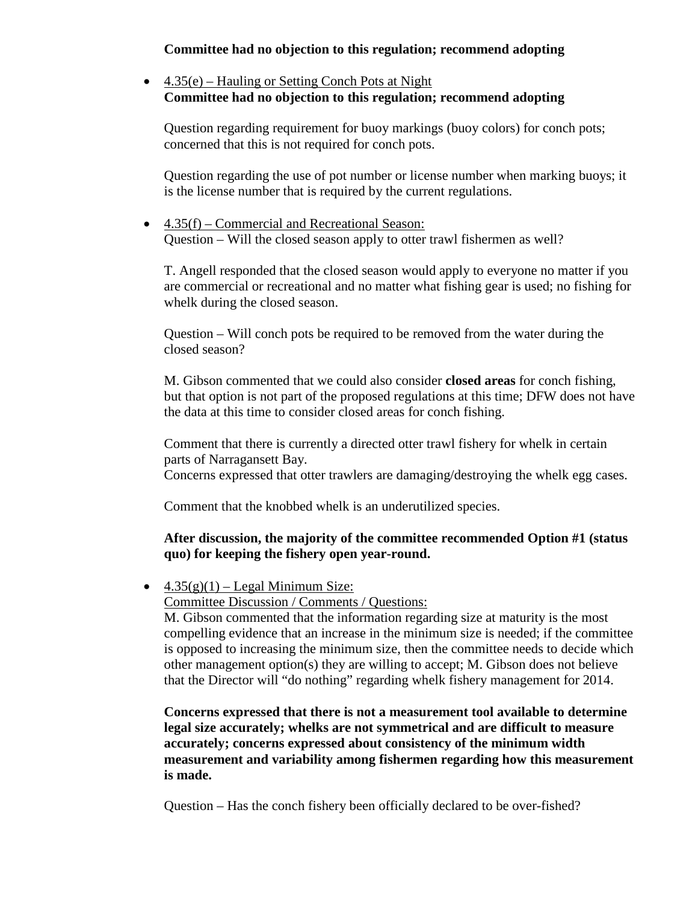### **Committee had no objection to this regulation; recommend adopting**

# • 4.35(e) – Hauling or Setting Conch Pots at Night **Committee had no objection to this regulation; recommend adopting**

Question regarding requirement for buoy markings (buoy colors) for conch pots; concerned that this is not required for conch pots.

Question regarding the use of pot number or license number when marking buoys; it is the license number that is required by the current regulations.

• 4.35(f) – Commercial and Recreational Season: Question – Will the closed season apply to otter trawl fishermen as well?

T. Angell responded that the closed season would apply to everyone no matter if you are commercial or recreational and no matter what fishing gear is used; no fishing for whelk during the closed season.

Question – Will conch pots be required to be removed from the water during the closed season?

M. Gibson commented that we could also consider **closed areas** for conch fishing, but that option is not part of the proposed regulations at this time; DFW does not have the data at this time to consider closed areas for conch fishing.

Comment that there is currently a directed otter trawl fishery for whelk in certain parts of Narragansett Bay.

Concerns expressed that otter trawlers are damaging/destroying the whelk egg cases.

Comment that the knobbed whelk is an underutilized species.

# **After discussion, the majority of the committee recommended Option #1 (status quo) for keeping the fishery open year-round.**

•  $4.35(g)(1)$  – Legal Minimum Size:

Committee Discussion / Comments / Questions:

M. Gibson commented that the information regarding size at maturity is the most compelling evidence that an increase in the minimum size is needed; if the committee is opposed to increasing the minimum size, then the committee needs to decide which other management option(s) they are willing to accept; M. Gibson does not believe that the Director will "do nothing" regarding whelk fishery management for 2014.

**Concerns expressed that there is not a measurement tool available to determine legal size accurately; whelks are not symmetrical and are difficult to measure accurately; concerns expressed about consistency of the minimum width measurement and variability among fishermen regarding how this measurement is made.**

Question – Has the conch fishery been officially declared to be over-fished?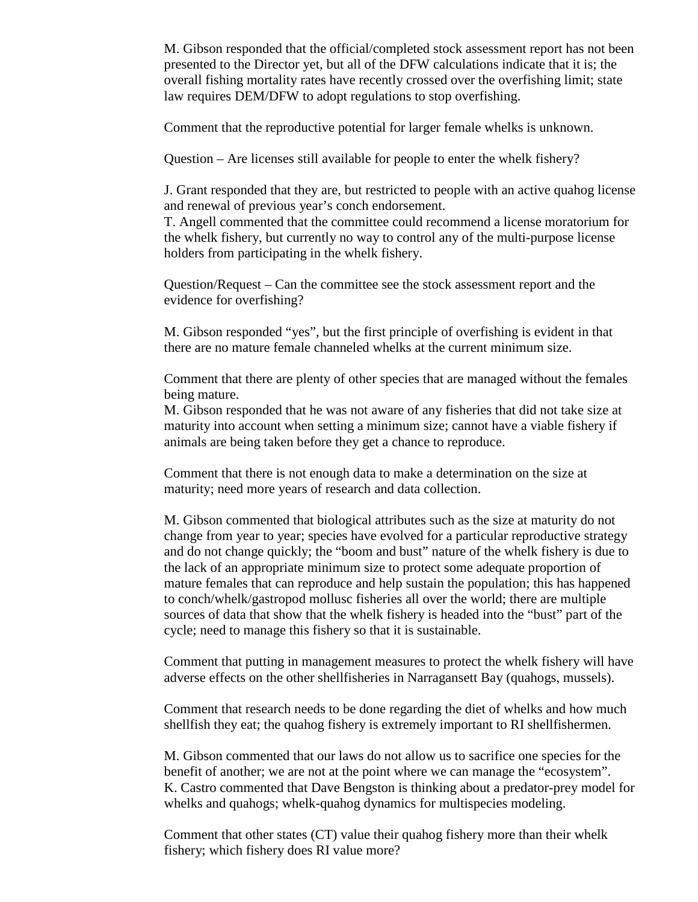M. Gibson responded that the official/completed stock assessment report has not been presented to the Director yet, but all of the DFW calculations indicate that it is; the overall fishing mortality rates have recently crossed over the overfishing limit; state law requires DEM/DFW to adopt regulations to stop overfishing.

Comment that the reproductive potential for larger female whelks is unknown.

Question – Are licenses still available for people to enter the whelk fishery?

J. Grant responded that they are, but restricted to people with an active quahog license and renewal of previous year's conch endorsement.

T. Angell commented that the committee could recommend a license moratorium for the whelk fishery, but currently no way to control any of the multi-purpose license holders from participating in the whelk fishery.

Question/Request – Can the committee see the stock assessment report and the evidence for overfishing?

M. Gibson responded "yes", but the first principle of overfishing is evident in that there are no mature female channeled whelks at the current minimum size.

Comment that there are plenty of other species that are managed without the females being mature.

M. Gibson responded that he was not aware of any fisheries that did not take size at maturity into account when setting a minimum size; cannot have a viable fishery if animals are being taken before they get a chance to reproduce.

Comment that there is not enough data to make a determination on the size at maturity; need more years of research and data collection.

M. Gibson commented that biological attributes such as the size at maturity do not change from year to year; species have evolved for a particular reproductive strategy and do not change quickly; the "boom and bust" nature of the whelk fishery is due to the lack of an appropriate minimum size to protect some adequate proportion of mature females that can reproduce and help sustain the population; this has happened to conch/whelk/gastropod mollusc fisheries all over the world; there are multiple sources of data that show that the whelk fishery is headed into the "bust" part of the cycle; need to manage this fishery so that it is sustainable.

Comment that putting in management measures to protect the whelk fishery will have adverse effects on the other shellfisheries in Narragansett Bay (quahogs, mussels).

Comment that research needs to be done regarding the diet of whelks and how much shellfish they eat; the quahog fishery is extremely important to RI shellfishermen.

M. Gibson commented that our laws do not allow us to sacrifice one species for the benefit of another; we are not at the point where we can manage the "ecosystem". K. Castro commented that Dave Bengston is thinking about a predator-prey model for whelks and quahogs; whelk-quahog dynamics for multispecies modeling.

Comment that other states (CT) value their quahog fishery more than their whelk fishery; which fishery does RI value more?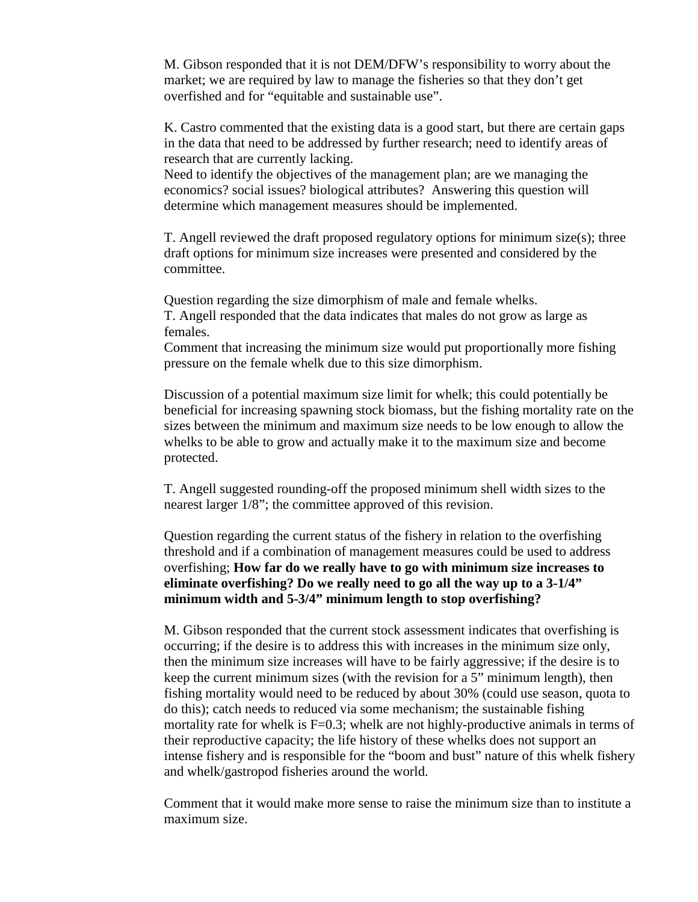M. Gibson responded that it is not DEM/DFW's responsibility to worry about the market; we are required by law to manage the fisheries so that they don't get overfished and for "equitable and sustainable use".

K. Castro commented that the existing data is a good start, but there are certain gaps in the data that need to be addressed by further research; need to identify areas of research that are currently lacking.

Need to identify the objectives of the management plan; are we managing the economics? social issues? biological attributes? Answering this question will determine which management measures should be implemented.

T. Angell reviewed the draft proposed regulatory options for minimum size(s); three draft options for minimum size increases were presented and considered by the committee.

Question regarding the size dimorphism of male and female whelks. T. Angell responded that the data indicates that males do not grow as large as females.

Comment that increasing the minimum size would put proportionally more fishing pressure on the female whelk due to this size dimorphism.

Discussion of a potential maximum size limit for whelk; this could potentially be beneficial for increasing spawning stock biomass, but the fishing mortality rate on the sizes between the minimum and maximum size needs to be low enough to allow the whelks to be able to grow and actually make it to the maximum size and become protected.

T. Angell suggested rounding-off the proposed minimum shell width sizes to the nearest larger 1/8"; the committee approved of this revision.

Question regarding the current status of the fishery in relation to the overfishing threshold and if a combination of management measures could be used to address overfishing; **How far do we really have to go with minimum size increases to eliminate overfishing? Do we really need to go all the way up to a 3-1/4" minimum width and 5-3/4" minimum length to stop overfishing?**

M. Gibson responded that the current stock assessment indicates that overfishing is occurring; if the desire is to address this with increases in the minimum size only, then the minimum size increases will have to be fairly aggressive; if the desire is to keep the current minimum sizes (with the revision for a 5" minimum length), then fishing mortality would need to be reduced by about 30% (could use season, quota to do this); catch needs to reduced via some mechanism; the sustainable fishing mortality rate for whelk is F=0.3; whelk are not highly-productive animals in terms of their reproductive capacity; the life history of these whelks does not support an intense fishery and is responsible for the "boom and bust" nature of this whelk fishery and whelk/gastropod fisheries around the world.

Comment that it would make more sense to raise the minimum size than to institute a maximum size.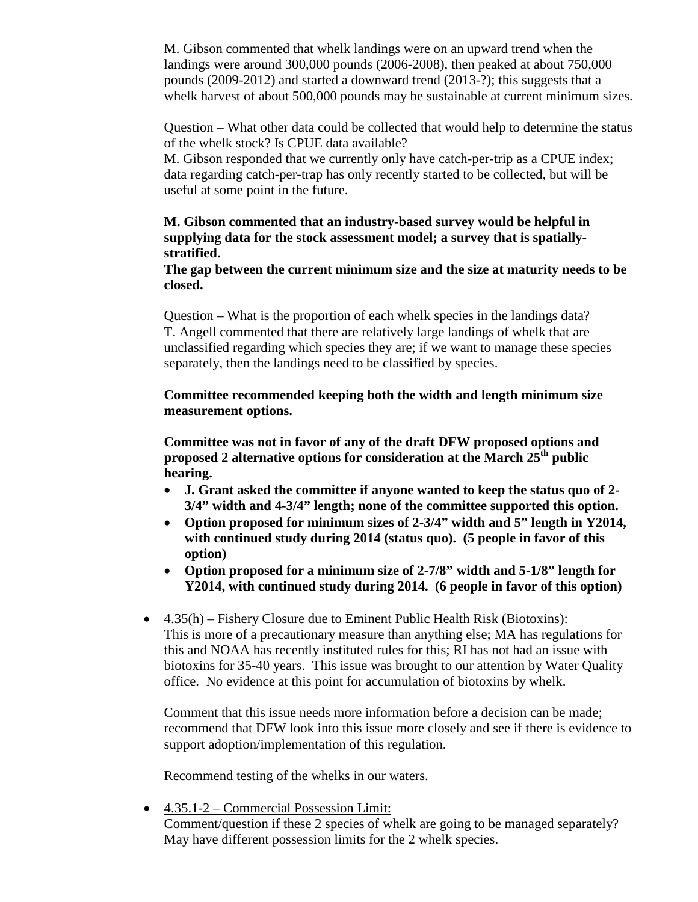M. Gibson commented that whelk landings were on an upward trend when the landings were around 300,000 pounds (2006-2008), then peaked at about 750,000 pounds (2009-2012) and started a downward trend (2013-?); this suggests that a whelk harvest of about 500,000 pounds may be sustainable at current minimum sizes.

Question – What other data could be collected that would help to determine the status of the whelk stock? Is CPUE data available?

M. Gibson responded that we currently only have catch-per-trip as a CPUE index; data regarding catch-per-trap has only recently started to be collected, but will be useful at some point in the future.

# **M. Gibson commented that an industry-based survey would be helpful in supplying data for the stock assessment model; a survey that is spatiallystratified.**

#### **The gap between the current minimum size and the size at maturity needs to be closed.**

Question – What is the proportion of each whelk species in the landings data? T. Angell commented that there are relatively large landings of whelk that are unclassified regarding which species they are; if we want to manage these species separately, then the landings need to be classified by species.

## **Committee recommended keeping both the width and length minimum size measurement options.**

**Committee was not in favor of any of the draft DFW proposed options and proposed 2 alternative options for consideration at the March 25th public hearing.**

- **J. Grant asked the committee if anyone wanted to keep the status quo of 2- 3/4" width and 4-3/4" length; none of the committee supported this option.**
- **Option proposed for minimum sizes of 2-3/4" width and 5" length in Y2014, with continued study during 2014 (status quo). (5 people in favor of this option)**
- **Option proposed for a minimum size of 2-7/8" width and 5-1/8" length for Y2014, with continued study during 2014. (6 people in favor of this option)**
- 4.35(h) Fishery Closure due to Eminent Public Health Risk (Biotoxins): This is more of a precautionary measure than anything else; MA has regulations for this and NOAA has recently instituted rules for this; RI has not had an issue with biotoxins for 35-40 years. This issue was brought to our attention by Water Quality office. No evidence at this point for accumulation of biotoxins by whelk.

Comment that this issue needs more information before a decision can be made; recommend that DFW look into this issue more closely and see if there is evidence to support adoption/implementation of this regulation.

Recommend testing of the whelks in our waters.

• 4.35.1-2 – Commercial Possession Limit:

Comment/question if these 2 species of whelk are going to be managed separately? May have different possession limits for the 2 whelk species.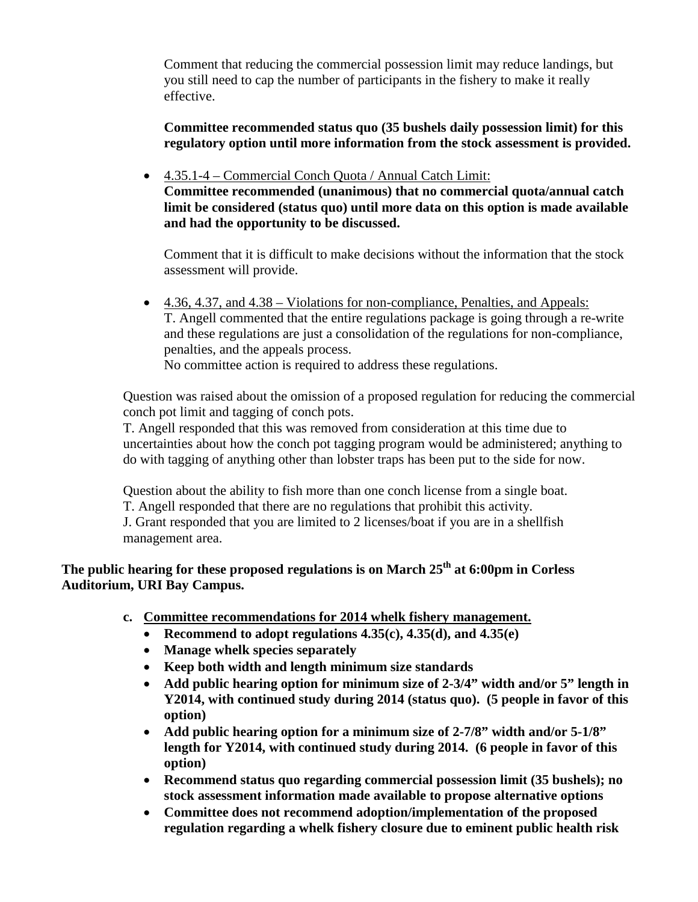Comment that reducing the commercial possession limit may reduce landings, but you still need to cap the number of participants in the fishery to make it really effective.

**Committee recommended status quo (35 bushels daily possession limit) for this regulatory option until more information from the stock assessment is provided.**

• 4.35.1-4 – Commercial Conch Quota / Annual Catch Limit: **Committee recommended (unanimous) that no commercial quota/annual catch limit be considered (status quo) until more data on this option is made available and had the opportunity to be discussed.**

Comment that it is difficult to make decisions without the information that the stock assessment will provide.

• 4.36, 4.37, and 4.38 – Violations for non-compliance, Penalties, and Appeals: T. Angell commented that the entire regulations package is going through a re-write and these regulations are just a consolidation of the regulations for non-compliance, penalties, and the appeals process.

No committee action is required to address these regulations.

Question was raised about the omission of a proposed regulation for reducing the commercial conch pot limit and tagging of conch pots.

T. Angell responded that this was removed from consideration at this time due to uncertainties about how the conch pot tagging program would be administered; anything to do with tagging of anything other than lobster traps has been put to the side for now.

Question about the ability to fish more than one conch license from a single boat. T. Angell responded that there are no regulations that prohibit this activity. J. Grant responded that you are limited to 2 licenses/boat if you are in a shellfish

management area.

**The public hearing for these proposed regulations is on March 25th at 6:00pm in Corless Auditorium, URI Bay Campus.**

- **c. Committee recommendations for 2014 whelk fishery management.**
	- **Recommend to adopt regulations 4.35(c), 4.35(d), and 4.35(e)**
	- **Manage whelk species separately**
	- **Keep both width and length minimum size standards**
	- **Add public hearing option for minimum size of 2-3/4" width and/or 5" length in Y2014, with continued study during 2014 (status quo). (5 people in favor of this option)**
	- **Add public hearing option for a minimum size of 2-7/8" width and/or 5-1/8" length for Y2014, with continued study during 2014. (6 people in favor of this option)**
	- **Recommend status quo regarding commercial possession limit (35 bushels); no stock assessment information made available to propose alternative options**
	- **Committee does not recommend adoption/implementation of the proposed regulation regarding a whelk fishery closure due to eminent public health risk**